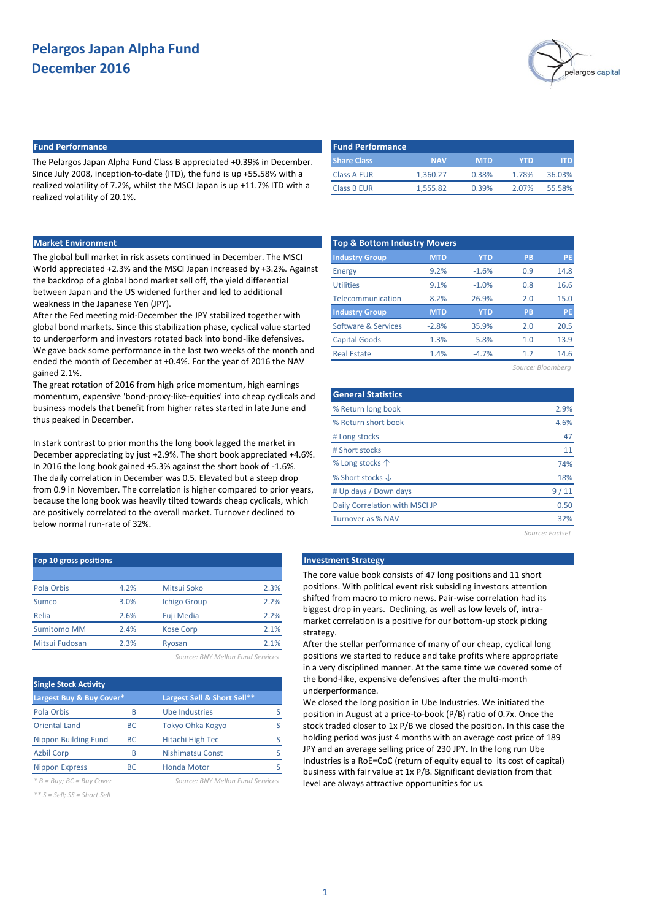

### **Fund Performance Fund Performance**

The Pelargos Japan Alpha Fund Class B appreciated +0.39% in December. Since July 2008, inception-to-date (ITD), the fund is up +55.58% with a realized volatility of 7.2%, whilst the MSCI Japan is up +11.7% ITD with a realized volatility of 20.1%.

| <b>Fund Performance</b> |            |            |       |        |
|-------------------------|------------|------------|-------|--------|
| <b>Share Class</b>      | <b>NAV</b> | <b>MTD</b> | YTD.  | IT D   |
| Class A EUR             | 1.360.27   | 0.38%      | 1.78% | 36.03% |
| <b>Class B EUR</b>      | 1.555.82   | 0.39%      | 2.07% | 55.58% |

### **Market Environment**

The global bull market in risk assets continued in December. The MSCI World appreciated +2.3% and the MSCI Japan increased by +3.2%. Against the backdrop of a global bond market sell off, the yield differential between Japan and the US widened further and led to additional weakness in the Japanese Yen (JPY).

After the Fed meeting mid-December the JPY stabilized together with global bond markets. Since this stabilization phase, cyclical value started to underperform and investors rotated back into bond-like defensives. We gave back some performance in the last two weeks of the month and ended the month of December at +0.4%. For the year of 2016 the NAV gained 2.1%.

The great rotation of 2016 from high price momentum, high earnings momentum, expensive 'bond-proxy-like-equities' into cheap cyclicals and business models that benefit from higher rates started in late June and thus peaked in December.

In stark contrast to prior months the long book lagged the market in December appreciating by just +2.9%. The short book appreciated +4.6%. In 2016 the long book gained +5.3% against the short book of -1.6%. The daily correlation in December was 0.5. Elevated but a steep drop from 0.9 in November. The correlation is higher compared to prior years, because the long book was heavily tilted towards cheap cyclicals, which are positively correlated to the overall market. Turnover declined to below normal run-rate of 32%.

| <b>Top 10 gross positions</b> |      |                     |      |
|-------------------------------|------|---------------------|------|
|                               |      |                     |      |
| Pola Orbis                    | 4.2% | Mitsui Soko         | 2.3% |
| Sumco                         | 3.0% | <b>Ichigo Group</b> | 2.2% |
| Relia                         | 2.6% | <b>Fuji Media</b>   | 2.2% |
| <b>Sumitomo MM</b>            | 2.4% | <b>Kose Corp</b>    | 2.1% |
| Mitsui Fudosan                | 2.3% | Ryosan              | 2.1% |

*Source: BNY Mellon Fund Services*

| <b>Single Stock Activity</b> |           |                             |  |  |  |  |  |  |  |
|------------------------------|-----------|-----------------------------|--|--|--|--|--|--|--|
| Largest Buy & Buy Cover*     |           | Largest Sell & Short Sell** |  |  |  |  |  |  |  |
| Pola Orbis                   | B         | <b>Ube Industries</b>       |  |  |  |  |  |  |  |
| <b>Oriental Land</b>         | <b>BC</b> | Tokyo Ohka Kogyo            |  |  |  |  |  |  |  |
| <b>Nippon Building Fund</b>  | <b>BC</b> | Hitachi High Tec            |  |  |  |  |  |  |  |
| <b>Azbil Corp</b>            | B         | <b>Nishimatsu Const</b>     |  |  |  |  |  |  |  |
| <b>Nippon Express</b>        | ВC        | <b>Honda Motor</b>          |  |  |  |  |  |  |  |

*\* B = Buy; BC = Buy Cover Source: BNY Mellon Fund Services*

*\*\* S = Sell; SS = Short Sell*

| <b>Top &amp; Bottom Industry Movers</b> |            |            |           |           |  |  |  |  |  |  |
|-----------------------------------------|------------|------------|-----------|-----------|--|--|--|--|--|--|
| <b>Industry Group</b>                   | <b>MTD</b> | <b>YTD</b> | <b>PB</b> | <b>PE</b> |  |  |  |  |  |  |
| Energy                                  | 9.2%       | $-1.6%$    | 0.9       | 14.8      |  |  |  |  |  |  |
| <b>Utilities</b>                        | 9.1%       | $-1.0%$    | 0.8       | 16.6      |  |  |  |  |  |  |
| Telecommunication                       | 8.2%       | 26.9%      | 2.0       | 15.0      |  |  |  |  |  |  |
| <b>Industry Group</b>                   | <b>MTD</b> | <b>YTD</b> | <b>PB</b> | <b>PE</b> |  |  |  |  |  |  |
| Software & Services                     | $-2.8%$    | 35.9%      | 2.0       | 20.5      |  |  |  |  |  |  |
| <b>Capital Goods</b>                    | 1.3%       | 5.8%       | 1.0       | 13.9      |  |  |  |  |  |  |
| <b>Real Estate</b>                      | 1.4%       | $-4.7%$    | 1.2       | 14.6      |  |  |  |  |  |  |

*Source: Bloomberg*

| <b>General Statistics</b>      |                 |
|--------------------------------|-----------------|
| % Return long book             | 2.9%            |
| % Return short book            | 4.6%            |
| # Long stocks                  | 47              |
| # Short stocks                 | 11              |
| % Long stocks $\uparrow$       | 74%             |
| % Short stocks $\downarrow$    | 18%             |
| # Up days / Down days          | 9/11            |
| Daily Correlation with MSCI JP | 0.50            |
| Turnover as % NAV              | 32%             |
|                                | Source: Factset |

#### **Investment Strategy**

The core value book consists of 47 long positions and 11 short positions. With political event risk subsiding investors attention shifted from macro to micro news. Pair-wise correlation had its biggest drop in years. Declining, as well as low levels of, intramarket correlation is a positive for our bottom-up stock picking strategy.

After the stellar performance of many of our cheap, cyclical long positions we started to reduce and take profits where appropriate in a very disciplined manner. At the same time we covered some of the bond-like, expensive defensives after the multi-month underperformance.

We closed the long position in Ube Industries. We initiated the position in August at a price-to-book (P/B) ratio of 0.7x. Once the stock traded closer to 1x P/B we closed the position. In this case the holding period was just 4 months with an average cost price of 189 JPY and an average selling price of 230 JPY. In the long run Ube Industries is a RoE=CoC (return of equity equal to its cost of capital) business with fair value at 1x P/B. Significant deviation from that level are always attractive opportunities for us.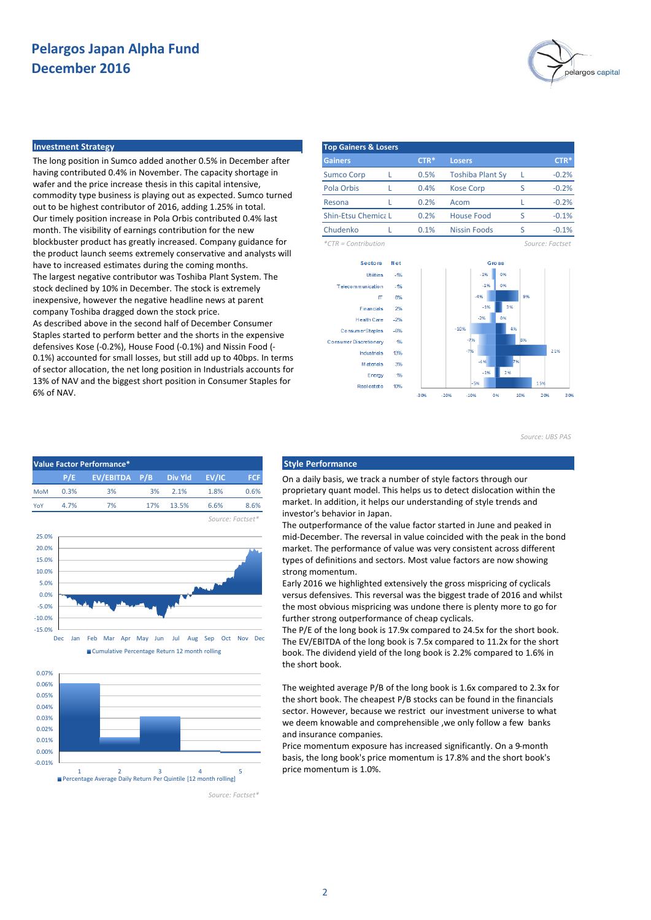

#### **Investment Strategy**

The long position in Sumco added another 0.5% in December after having contributed 0.4% in November. The capacity shortage in wafer and the price increase thesis in this capital intensive, commodity type business is playing out as expected. Sumco turned out to be highest contributor of 2016, adding 1.25% in total. Our timely position increase in Pola Orbis contributed 0.4% last month. The visibility of earnings contribution for the new blockbuster product has greatly increased. Company guidance for the product launch seems extremely conservative and analysts will have to increased estimates during the coming months. The largest negative contributor was Toshiba Plant System. The stock declined by 10% in December. The stock is extremely inexpensive, however the negative headline news at parent company Toshiba dragged down the stock price.

As described above in the second half of December Consumer Staples started to perform better and the shorts in the expensive defensives Kose (-0.2%), House Food (-0.1%) and Nissin Food (- 0.1%) accounted for small losses, but still add up to 40bps. In terms of sector allocation, the net long position in Industrials accounts for 13% of NAV and the biggest short position in Consumer Staples for 6% of NAV.

| <b>Top Gainers &amp; Losers</b> |  |        |                         |   |                 |  |  |  |  |  |
|---------------------------------|--|--------|-------------------------|---|-----------------|--|--|--|--|--|
| <b>Gainers</b>                  |  | $CTR*$ | <b>Losers</b>           |   | $CTR*$          |  |  |  |  |  |
| <b>Sumco Corp</b>               |  | 0.5%   | <b>Toshiba Plant Sy</b> |   | $-0.2%$         |  |  |  |  |  |
| Pola Orbis                      |  | 0.4%   | <b>Kose Corp</b>        | ς | $-0.2%$         |  |  |  |  |  |
| Resona                          |  | 0.2%   | Acom                    |   | $-0.2%$         |  |  |  |  |  |
| <b>Shin-Etsu Chemica L</b>      |  | 0.2%   | <b>House Food</b>       | ς | $-0.1%$         |  |  |  |  |  |
| Chudenko                        |  | 0.1%   | <b>Nissin Foods</b>     | ς | $-0.1%$         |  |  |  |  |  |
| $*CTR =$ Contribution           |  |        |                         |   | Source: Factset |  |  |  |  |  |



*Source: UBS PAS*







On a daily basis, we track a number of style factors through our proprietary quant model. This helps us to detect dislocation within the market. In addition, it helps our understanding of style trends and investor's behavior in Japan.

The outperformance of the value factor started in June and peaked in mid-December. The reversal in value coincided with the peak in the bond market. The performance of value was very consistent across different types of definitions and sectors. Most value factors are now showing strong momentum.

Early 2016 we highlighted extensively the gross mispricing of cyclicals versus defensives. This reversal was the biggest trade of 2016 and whilst the most obvious mispricing was undone there is plenty more to go for further strong outperformance of cheap cyclicals.

The P/E of the long book is 17.9x compared to 24.5x for the short book. The EV/EBITDA of the long book is 7.5x compared to 11.2x for the short book. The dividend yield of the long book is 2.2% compared to 1.6% in the short book.

The weighted average P/B of the long book is 1.6x compared to 2.3x for the short book. The cheapest P/B stocks can be found in the financials sector. However, because we restrict our investment universe to what we deem knowable and comprehensible ,we only follow a few banks and insurance companies.

Price momentum exposure has increased significantly. On a 9-month basis, the long book's price momentum is 17.8% and the short book's price momentum is 1.0%.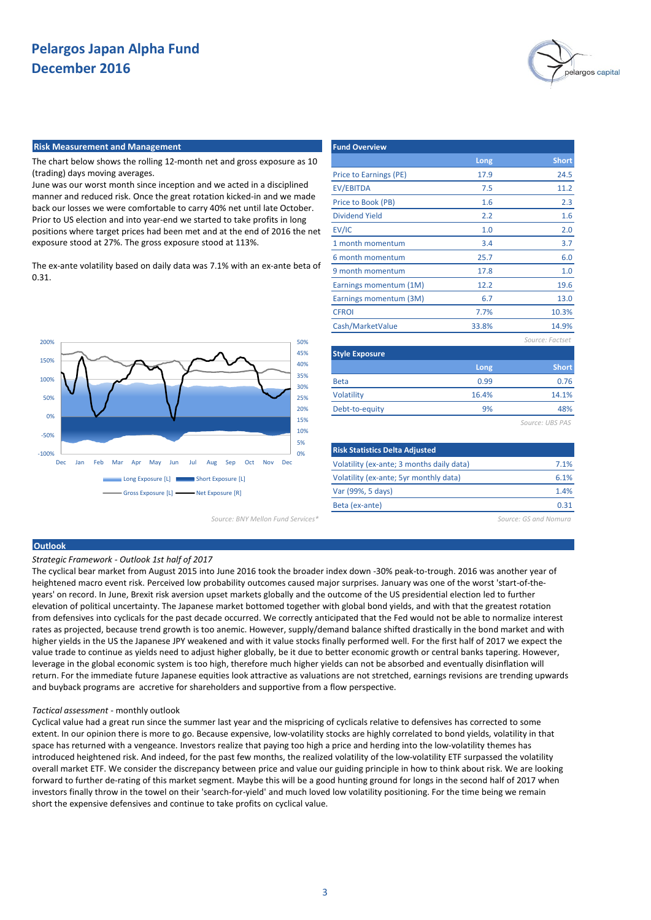

#### **Risk Measurement and Management**

The chart below shows the rolling 12-month net and gross exposure as 10 (trading) days moving averages.

June was our worst month since inception and we acted in a disciplined manner and reduced risk. Once the great rotation kicked-in and we made back our losses we were comfortable to carry 40% net until late October. Prior to US election and into year-end we started to take profits in long positions where target prices had been met and at the end of 2016 the net exposure stood at 27%. The gross exposure stood at 113%.

The ex-ante volatility based on daily data was 7.1% with an ex-ante beta of 0.31.



*Source: BNY Mellon Fund Services\* Source: GS and Nomura*

| <b>Fund Overview</b>   |       |                 |
|------------------------|-------|-----------------|
|                        | Long  | <b>Short</b>    |
| Price to Earnings (PE) | 17.9  | 24.5            |
| <b>EV/EBITDA</b>       | 7.5   | 11.2            |
| Price to Book (PB)     | 1.6   | 2.3             |
| <b>Dividend Yield</b>  | 2.2   | 1.6             |
| EV/IC                  | 1.0   | 2.0             |
| 1 month momentum       | 3.4   | 3.7             |
| 6 month momentum       | 25.7  | 6.0             |
| 9 month momentum       | 17.8  | 1.0             |
| Earnings momentum (1M) | 12.2  | 19.6            |
| Earnings momentum (3M) | 6.7   | 13.0            |
| <b>CFROI</b>           | 7.7%  | 10.3%           |
| Cash/MarketValue       | 33.8% | 14.9%           |
|                        |       | Source: Factset |
| <b>Style Exposure</b>  |       |                 |
|                        | Long  | <b>Short</b>    |
| <b>Beta</b>            | 0.99  | 0.76            |
| <b>Volatility</b>      | 16.4% | 14.1%           |
| Debt-to-equity         | 9%    | 48%             |
|                        |       | Source: UBS PAS |

| 7.1% |
|------|
| 6.1% |
| 1.4% |
| 0.31 |
|      |

### **Outlook**

*Strategic Framework - Outlook 1st half of 2017*

The cyclical bear market from August 2015 into June 2016 took the broader index down -30% peak-to-trough. 2016 was another year of heightened macro event risk. Perceived low probability outcomes caused major surprises. January was one of the worst 'start-of-theyears' on record. In June, Brexit risk aversion upset markets globally and the outcome of the US presidential election led to further elevation of political uncertainty. The Japanese market bottomed together with global bond yields, and with that the greatest rotation from defensives into cyclicals for the past decade occurred. We correctly anticipated that the Fed would not be able to normalize interest rates as projected, because trend growth is too anemic. However, supply/demand balance shifted drastically in the bond market and with higher yields in the US the Japanese JPY weakened and with it value stocks finally performed well. For the first half of 2017 we expect the value trade to continue as yields need to adjust higher globally, be it due to better economic growth or central banks tapering. However, leverage in the global economic system is too high, therefore much higher yields can not be absorbed and eventually disinflation will return. For the immediate future Japanese equities look attractive as valuations are not stretched, earnings revisions are trending upwards and buyback programs are accretive for shareholders and supportive from a flow perspective.

#### *Tactical assessment* - monthly outlook

Cyclical value had a great run since the summer last year and the mispricing of cyclicals relative to defensives has corrected to some extent. In our opinion there is more to go. Because expensive, low-volatility stocks are highly correlated to bond yields, volatility in that space has returned with a vengeance. Investors realize that paying too high a price and herding into the low-volatility themes has introduced heightened risk. And indeed, for the past few months, the realized volatility of the low-volatility ETF surpassed the volatility overall market ETF. We consider the discrepancy between price and value our guiding principle in how to think about risk. We are looking forward to further de-rating of this market segment. Maybe this will be a good hunting ground for longs in the second half of 2017 when investors finally throw in the towel on their 'search-for-yield' and much loved low volatility positioning. For the time being we remain short the expensive defensives and continue to take profits on cyclical value.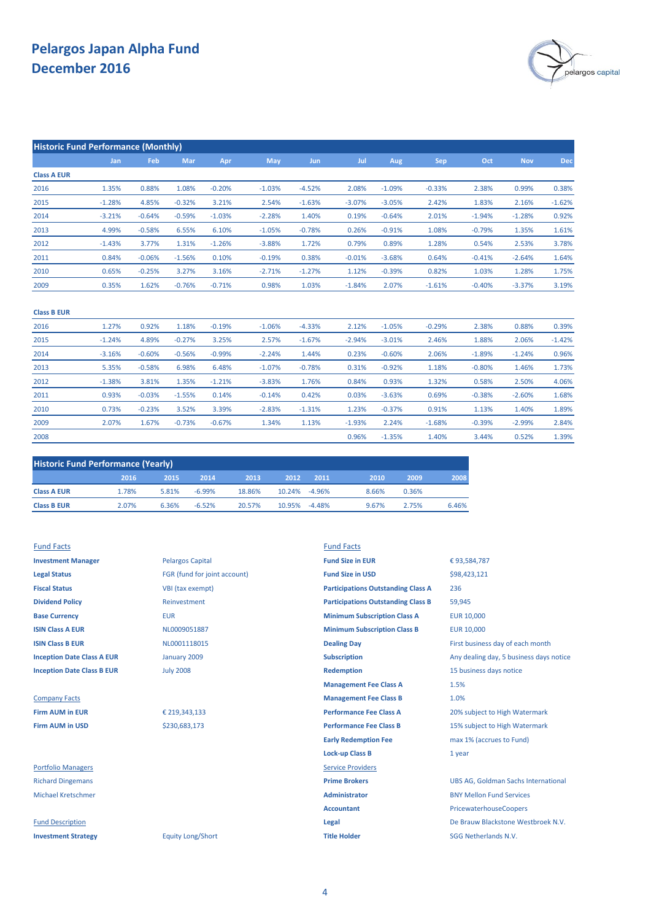

| <b>Historic Fund Performance (Monthly)</b> |          |          |          |          |            |            |          |          |          |          |            |          |
|--------------------------------------------|----------|----------|----------|----------|------------|------------|----------|----------|----------|----------|------------|----------|
|                                            | Jan      | Feb      | Mar      | Apr      | <b>May</b> | <b>Jun</b> | Jul      | Aug      | Sep      | Oct      | <b>Nov</b> | Dec      |
| <b>Class A EUR</b>                         |          |          |          |          |            |            |          |          |          |          |            |          |
| 2016                                       | 1.35%    | 0.88%    | 1.08%    | $-0.20%$ | $-1.03%$   | $-4.52%$   | 2.08%    | $-1.09%$ | $-0.33%$ | 2.38%    | 0.99%      | 0.38%    |
| 2015                                       | $-1.28%$ | 4.85%    | $-0.32%$ | 3.21%    | 2.54%      | $-1.63%$   | $-3.07%$ | $-3.05%$ | 2.42%    | 1.83%    | 2.16%      | $-1.62%$ |
| 2014                                       | $-3.21%$ | $-0.64%$ | $-0.59%$ | $-1.03%$ | $-2.28%$   | 1.40%      | 0.19%    | $-0.64%$ | 2.01%    | $-1.94%$ | $-1.28%$   | 0.92%    |
| 2013                                       | 4.99%    | $-0.58%$ | 6.55%    | 6.10%    | $-1.05%$   | $-0.78%$   | 0.26%    | $-0.91%$ | 1.08%    | $-0.79%$ | 1.35%      | 1.61%    |
| 2012                                       | $-1.43%$ | 3.77%    | 1.31%    | $-1.26%$ | $-3.88%$   | 1.72%      | 0.79%    | 0.89%    | 1.28%    | 0.54%    | 2.53%      | 3.78%    |
| 2011                                       | 0.84%    | $-0.06%$ | $-1.56%$ | 0.10%    | $-0.19%$   | 0.38%      | $-0.01%$ | $-3.68%$ | 0.64%    | $-0.41%$ | $-2.64%$   | 1.64%    |
| 2010                                       | 0.65%    | $-0.25%$ | 3.27%    | 3.16%    | $-2.71%$   | $-1.27%$   | 1.12%    | $-0.39%$ | 0.82%    | 1.03%    | 1.28%      | 1.75%    |
| 2009                                       | 0.35%    | 1.62%    | $-0.76%$ | $-0.71%$ | 0.98%      | 1.03%      | $-1.84%$ | 2.07%    | $-1.61%$ | $-0.40%$ | $-3.37%$   | 3.19%    |
|                                            |          |          |          |          |            |            |          |          |          |          |            |          |

| <b>Class B EUR</b> |          |          |          |          |          |          |          |          |          |          |          |          |
|--------------------|----------|----------|----------|----------|----------|----------|----------|----------|----------|----------|----------|----------|
| 2016               | 1.27%    | 0.92%    | 1.18%    | $-0.19%$ | $-1.06%$ | $-4.33%$ | 2.12%    | $-1.05%$ | $-0.29%$ | 2.38%    | 0.88%    | 0.39%    |
| 2015               | $-1.24%$ | 4.89%    | $-0.27%$ | 3.25%    | 2.57%    | $-1.67%$ | $-2.94%$ | $-3.01%$ | 2.46%    | 1.88%    | 2.06%    | $-1.42%$ |
| 2014               | $-3.16%$ | $-0.60%$ | $-0.56%$ | $-0.99%$ | $-2.24%$ | 1.44%    | 0.23%    | $-0.60%$ | 2.06%    | $-1.89%$ | $-1.24%$ | 0.96%    |
| 2013               | 5.35%    | $-0.58%$ | 6.98%    | 6.48%    | $-1.07%$ | $-0.78%$ | 0.31%    | $-0.92%$ | 1.18%    | $-0.80%$ | 1.46%    | 1.73%    |
| 2012               | $-1.38%$ | 3.81%    | 1.35%    | $-1.21%$ | $-3.83%$ | 1.76%    | 0.84%    | 0.93%    | 1.32%    | 0.58%    | 2.50%    | 4.06%    |
| 2011               | 0.93%    | $-0.03%$ | $-1.55%$ | 0.14%    | $-0.14%$ | 0.42%    | 0.03%    | $-3.63%$ | 0.69%    | $-0.38%$ | $-2.60%$ | 1.68%    |
| 2010               | 0.73%    | $-0.23%$ | 3.52%    | 3.39%    | $-2.83%$ | $-1.31%$ | 1.23%    | $-0.37%$ | 0.91%    | 1.13%    | 1.40%    | 1.89%    |
| 2009               | 2.07%    | 1.67%    | $-0.73%$ | $-0.67%$ | 1.34%    | 1.13%    | $-1.93%$ | 2.24%    | $-1.68%$ | $-0.39%$ | $-2.99%$ | 2.84%    |
| 2008               |          |          |          |          |          |          | 0.96%    | $-1.35%$ | 1.40%    | 3.44%    | 0.52%    | 1.39%    |
|                    |          |          |          |          |          |          |          |          |          |          |          |          |

| <b>Historic Fund Performance (Yearly)</b> |       |       |          |        |               |          |       |       |       |  |
|-------------------------------------------|-------|-------|----------|--------|---------------|----------|-------|-------|-------|--|
|                                           | 2016  | 2015  | 2014     | 2013   | 2012          | 2011     | 2010  | 2009  | 2008  |  |
| <b>Class A EUR</b>                        | 1.78% | 5.81% | $-6.99%$ | 18.86% | 10.24% -4.96% |          | 8.66% | 0.36% |       |  |
| <b>Class B EUR</b>                        | 2.07% | 6.36% | $-6.52%$ | 20.57% | 10.95%        | $-4.48%$ | 9.67% | 2.75% | 6.46% |  |

| <b>Fund Facts</b>                 |                              | <b>Fund Facts</b>                         |                                            |
|-----------------------------------|------------------------------|-------------------------------------------|--------------------------------------------|
| <b>Investment Manager</b>         | <b>Pelargos Capital</b>      | <b>Fund Size in EUR</b>                   | €93,584,787                                |
| <b>Legal Status</b>               | FGR (fund for joint account) | <b>Fund Size in USD</b>                   | \$98,423,121                               |
| <b>Fiscal Status</b>              | VBI (tax exempt)             | <b>Participations Outstanding Class A</b> | 236                                        |
| <b>Dividend Policy</b>            | Reinvestment                 | <b>Participations Outstanding Class B</b> | 59,945                                     |
| <b>Base Currency</b>              | <b>EUR</b>                   | <b>Minimum Subscription Class A</b>       | <b>EUR 10,000</b>                          |
| <b>ISIN Class A EUR</b>           | NL0009051887                 | <b>Minimum Subscription Class B</b>       | <b>EUR 10,000</b>                          |
| <b>ISIN Class B EUR</b>           | NL0001118015                 | <b>Dealing Day</b>                        | First business day of each month           |
| <b>Inception Date Class A EUR</b> | January 2009                 | <b>Subscription</b>                       | Any dealing day, 5 business days notice    |
| <b>Inception Date Class B EUR</b> | <b>July 2008</b>             | <b>Redemption</b>                         | 15 business days notice                    |
|                                   |                              | <b>Management Fee Class A</b>             | 1.5%                                       |
| <b>Company Facts</b>              |                              | <b>Management Fee Class B</b>             | 1.0%                                       |
| <b>Firm AUM in EUR</b>            | € 219,343,133                | <b>Performance Fee Class A</b>            | 20% subject to High Watermark              |
| <b>Firm AUM in USD</b>            | \$230,683,173                | <b>Performance Fee Class B</b>            | 15% subject to High Watermark              |
|                                   |                              | <b>Early Redemption Fee</b>               | max 1% (accrues to Fund)                   |
|                                   |                              | <b>Lock-up Class B</b>                    | 1 year                                     |
| <b>Portfolio Managers</b>         |                              | <b>Service Providers</b>                  |                                            |
| <b>Richard Dingemans</b>          |                              | <b>Prime Brokers</b>                      | <b>UBS AG, Goldman Sachs International</b> |
| <b>Michael Kretschmer</b>         |                              | <b>Administrator</b>                      | <b>BNY Mellon Fund Services</b>            |
|                                   |                              | <b>Accountant</b>                         | PricewaterhouseCoopers                     |
| <b>Fund Description</b>           |                              | Legal                                     | De Brauw Blackstone Westbroek N.V.         |
| <b>Investment Strategy</b>        | <b>Equity Long/Short</b>     | <b>Title Holder</b>                       | SGG Netherlands N.V.                       |